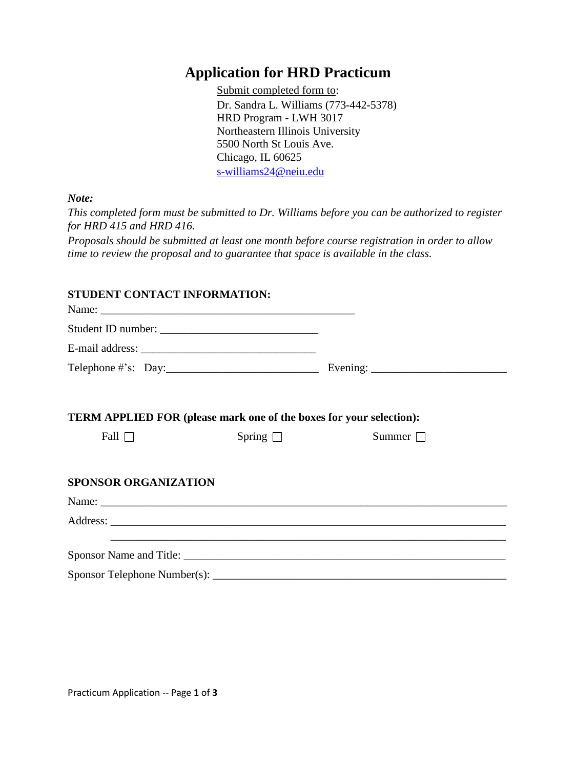## **Application for HRD Practicum**

 Submit completed form to: Dr. Sandra L. Williams (773-442-5378) HRD Program - LWH 3017 Northeastern Illinois University 5500 North St Louis Ave. Chicago, IL 60625 [s-williams24@neiu.edu](mailto:s-williams24@neiu.edu)

*Note:* 

*This completed form must be submitted to Dr. Williams before you can be authorized to register for HRD 415 and HRD 416.* 

*Proposals should be submitted at least one month before course registration in order to allow time to review the proposal and to guarantee that space is available in the class.* 

## **STUDENT CONTACT INFORMATION:**

| TERM APPLIED FOR (please mark one of the boxes for your selection): |               |                                                                                                                      |  |
|---------------------------------------------------------------------|---------------|----------------------------------------------------------------------------------------------------------------------|--|
| Fall $\Box$                                                         | Spring $\Box$ | Summer $\Box$                                                                                                        |  |
|                                                                     |               |                                                                                                                      |  |
| <b>SPONSOR ORGANIZATION</b>                                         |               |                                                                                                                      |  |
|                                                                     |               |                                                                                                                      |  |
|                                                                     |               |                                                                                                                      |  |
|                                                                     |               | <u> Andreas Andreas Andreas Andreas Andreas Andreas Andreas Andreas Andreas Andreas Andreas Andreas Andreas Andr</u> |  |
|                                                                     |               |                                                                                                                      |  |
|                                                                     |               |                                                                                                                      |  |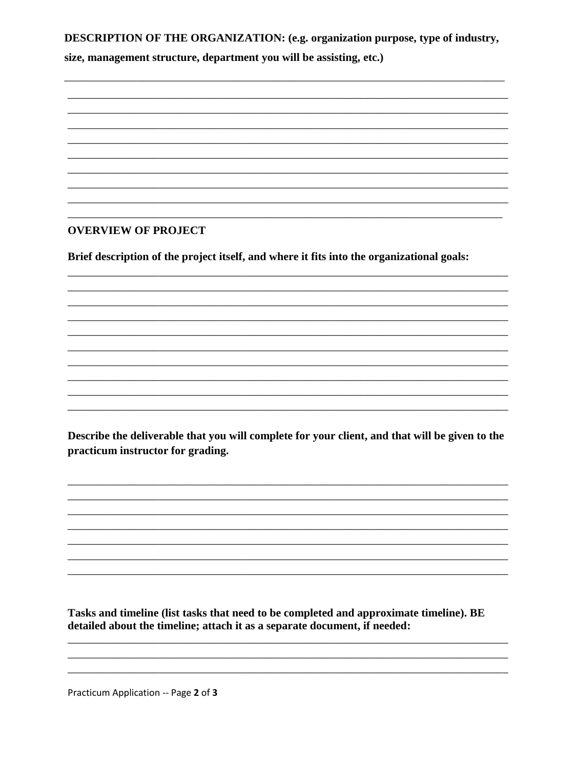**DESCRIPTION OF THE ORGANIZATION: (e.g. organization purpose, type of industry,** 

size, management structure, department you will be assisting, etc.)

## **OVERVIEW OF PROJECT**

Brief description of the project itself, and where it fits into the organizational goals:

Describe the deliverable that you will complete for your client, and that will be given to the practicum instructor for grading.

Tasks and timeline (list tasks that need to be completed and approximate timeline). BE detailed about the timeline; attach it as a separate document, if needed:

Practicum Application -- Page 2 of 3